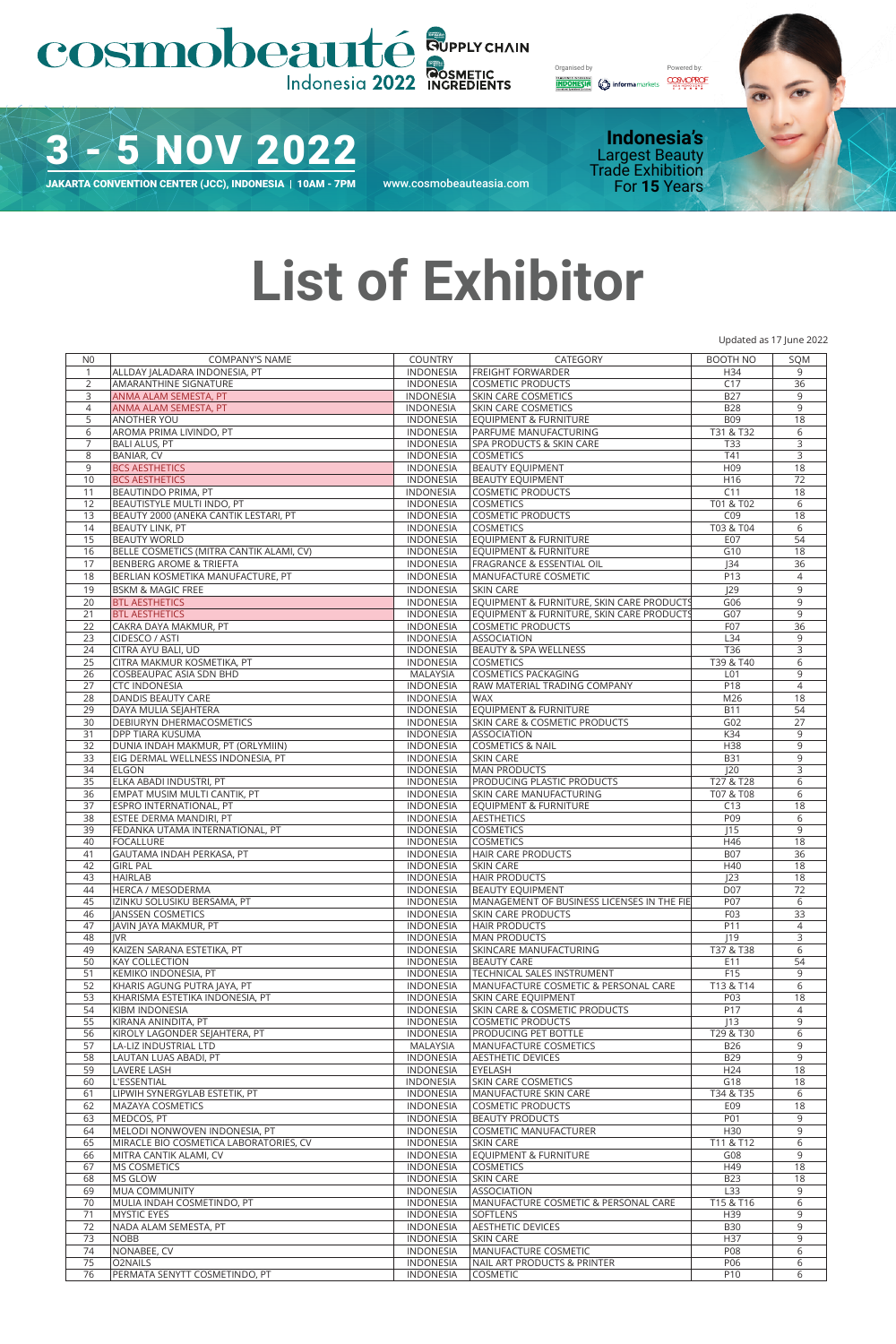## COSMODeauté SUPPLYCHAIN

Organised by Powered by:<br> **CORPORESIA**<br> **CORPORESIA**<br> **CORPORESIA**<br> **CORPORESIA**<br> **CORPORESIA** 

3 - 5 NOV 2022

For **15** Years JAKARTA CONVENTION CENTER (JCC), INDONESIA | 10AM - 7PM www.cosmobeauteasia.com

**Indonesia's** Largest Beauty Trade Exhibition<br>For 15 Years



Updated as 17 June 2022

## **List of Exhibitor**

N0 COMPANY'S NAME COUNTRY CATEGORY BOOTH NO SQM ALLDAY JALADARA INDONESIA, PT INDONESIA FREIGHT FORWARDER H34 9 AMARANTHINE SIGNATURE INDONESIA COSMETIC PRODUCTS C17 36 3 ANMA ALAM SEMESTA, PT INDONESIA SKIN CARE COSMETICS B27 9 ANMA ALAM SEMESTA, PT INDONESIA SKIN CARE COSMETICS B28 9 5 ANOTHER YOU AND THE RESERVE END AND THE RESERVE ENDINGER AND THE RESERVE ENDINGER AND THE RESERVE ENDINGER A<br>THE RESERVE ENDING A STATE OF THE RESERVE ENDINGER AND THE RESERVE ENDINGER AND THE RESERVE ENDINGER AND THE R<br> AROMA PRIMA LIVINDO, PT INDONESIA PARFUME MANUFACTURING T31 & T32 6 BALI ALUS, PT INDONESIA SPA PRODUCTS & SKIN CARE T33 3 BANIAR, CV INDONESIA COSMETICS T41 3 BCS AESTHETICS INDONESIA BEAUTY EQUIPMENT H09 18 BCS AESTHETICS INDONESIA BEAUTY EQUIPMENT H16 72 BEAUTINDO PRIMA, PT INDONESIA COSMETIC PRODUCTS C11 18 12 BEAUTISTYLE MULTI INDO, PT<br>13 BEAUTY 2000 (ANEKA CANTIK LESTARI, PT NODONESIA COSMETIC PRODUCTS COSMETIC PRODUCTS COSMETIC PRODUCTS COSMETIC PRODUCTS COSMETIC PRODUCTS COSMETIC PRODUCTS COSMETIC PRODUCTS COSMETIC PRODUC 13 BEAUTY 2000 (ANEKA CANTIK LESTARI, PT NO INDONESIA COSMETIC PRODUCTS COP 18<br>14 BEAUTY LINK, PT 103 & TO4 6 14 BEAUTY LINK, PT **1988**<br>14 BEAUTY LINK, PT 103 & TO3 & TO3 & TO3 & TO3 & TO2 6 TO3 & TO2 6 TO2 6 TO2 6 TO2 6 TO2 6 TO2 6 TO2 6 TO2 6 TO<br>15 BEAUTY WORLD 607 FOR 607 TO4 607 TO4 607 TO4 607 TO4 607 TO4 607 TO4 607 TO4 607 15 BEAUTY WORLD INDONESIA EQUIPMENT & FURNITURE THE CONTRACT OF SALE CONTRACT CONTRACT CONTRACT CONTRACT CONTR<br>The contract of the contract of the contract of the contract of the contract of the contract of the contract of 16 BELLE COSMETICS (MITRA CANTIK ALAMI, CV) INDONESIA EQUIPMENT & FURNITURE G10 610 18<br>17 BENBERG AROME & TRIEFTA 1966 1972 INDONESIA FRAGRANCE & ESSENTIAL OIL 134 36 17 BENBERG AROME & TRIEFTA INDIA INDONESIA FRAGRANCE & ESSENTIAL OIL INDONESIA INDONESIA INDIA INDIA INDIA INDONESIA<br>18 BERLIAN KOSMETIKA MANUFACTURE. PT INDONESIA MANUFACTURE COSMETIC P13 4 4 BERLIAN KOSMETIKA MANUFACTURE, PT 19 BSKM & MAGIC FREE INDONESIA SKIN CARE INDONESIA SKIN CARE INDONESIA SKIN CARE INDONESIA SKIN CARE INDONESIA<br>19 BTL AESTHETICS 606 99 20 BTL AESTHETICS **1999 CONFIDENTIAL CONFIDENT** INDONESIA EQUIPMENT & FURNITURE, SKIN CARE PRODUCTS 1999<br>21 BTL AESTHETICS 1999 CONFIDENTIAL CONFIDENTIAL EQUIPMENT & FURNITURE, SKIN CARE PRODUCTS 1997 21 BTL AESTHETICS **INDONESIA EQUIPMENT & FURNITURE, SKIN CARE PRODUCTS** GO7 9<br>22 CAKRA DAYA MAKMUR, PT **INDONESIA COSMETIC PRODUCTS** FO7 36 CAKRA DAYA MAKMUR, PT INDONESIA COSMETIC PRODUCTS F07 36 CIDESCO / ASTI INDONESIA ASSOCIATION L34 9 CITRA AYU BALI, UD INDONESIA BEAUTY & SPA WELLNESS T36 3 CITRA MAKMUR KOSMETIKA, PT COSBEAUPAC ASIA SDN BHD MALAYSIA COSMETICS PACKAGING L01 9 CTC INDONESIA INDONESIA RAW MATERIAL TRADING COMPANY P18 4 28 DANDIS BEAUTY CARE MENTE AND A RESERVE TO A REPORT OF THE MENTE AND A RESERVE TO A REPORT OF THE MENTE AND A<br>29 DAYA MILILA SEIAHTERA TENIT DAN AND A RESERVE TO A REPORT OF THE MENTE AND A RESERVE TO A RESERVE TO A RES 29 DAYA MULIA SEJAHTERA<br>29 DAYA MULIA SEJAHTERA INDONESIA EQUIPMENT & FURNITURE B11 54<br>20 DEBIURYN DHERMACOSMETICS INDONESIA SKIN CARE & COSMETIC PRODUCTS G02 27 **INDONESIA SKIN CARE & COSMETIC PRODUCTS<br>INDONESIA ASSOCIATION**  DPP TIARA KUSUMA INDONESIA ASSOCIATION K34 9 DUNIA INDAH MAKMUR, PT (ORLYMIIN) INDONESIA COSMETICS & NAIL H38 9 EIG DERMAL WELLNESS INDONESIA, PT INDONESIA SKIN CARE B31 9 ELGON INDONESIA MAN PRODUCTS J20 3 35 ELKA ABADI INDUSTRI, PT **INDONESIA INDONESIA PRODUCING PLASTIC PRODUCTS** T27 & T28 6 EMPAT MUSIM MULTI CANTIK, PT INDONESIA SKIN CARE MANUFACTURING T07 & T08 6 37 ESPRO INTERNATIONAL, PT INDONESIA EQUIPMENT & FURNITURE C13 18 ESTEE DERMA MANDIRI, PT INDONESIA AESTHETICS P09 6 FEDANKA UTAMA INTERNATIONAL, PT INDONESIA COSMETICS J15 9 FOCALLURE INDONESIA COSMETICS H46 18 GAUTAMA INDAH PERKASA, PT INDONESIA HAIR CARE PRODUCTS B07 36 GIRL PAL INDONESIA SKIN CARE H40 18 HAIRLAB INDONESIA HAIR PRODUCTS J23 18 ات المستقل بين المستقل المستقل المستقل المستقل المستقل المستقل المستقل المستقل المستقل المستقل المستقل المستقل<br>2017 - INDONESIA MANAGEMENT OF BUSINESS LICENSES IN THE FIE PO7 IZINKU SOLUSIKU BERSAMA, PT INDONESIA MANAGEMENT OF BUSINESS LICENSES IN THE FIE P07 6 JANSSEN COSMETICS INDONESIA SKIN CARE PRODUCTS F03 33 47 JAVIN JAYA MAKMUR, PT **INDONESIA HAIR PRODUCTS** P11 P11 4 JVR INDONESIA MAN PRODUCTS J19 3 KAIZEN SARANA ESTETIKA, PT INDONESIA SKINCARE MANUFACTURING T37 & T38 6 KAY COLLECTION INDONESIA BEAUTY CARE E11 54 KEMIKO INDONESIA, PT INDONESIA TECHNICAL SALES INSTRUMENT F15 9 52 KHARIS AGUNG PUTRA JAYAN PUTRA JAYAN PUTRA JAYAN PUTRA JAYAN JAYAN JAYAN JAYAN JAYAN JAYAN JAYAN JAYAN JAYA<br>12 KHARIS ASKIN CARE EQUIPMENT JAYAN JAYAN JAYAN JAYAN JAYAN JAYAN JAYAN JAYAN JAYAN JAYAN JAYAN JAYAN JAYAN J<br> KHARISMA ESTETIKA INDONESIA, PT INDONESIA SKIN CARE EQUIPMENT P03 18 54 KIBM INDONESIA INDONESIA SKIN CARE & COSMETIC PRODUCTS P17 4 KIRANA ANINDITA, PT INDONESIA COSMETIC PRODUCTS J13 9 KIROLY LAGONDER SEJAHTERA, PT INDONESIA PRODUCING PET BOTTLE T29 & T30 6 57 LA-LIZ INDUSTRIAL LTD MALAYSIA MANUFACTURE COSMETICS B26 9 LAUTAN LUAS ABADI, PT INDONESIA AESTHETIC DEVICES B29 9 LAVERE LASH INDONESIA EYELASH H24 18 L'ESSENTIAL INDONESIA SKIN CARE COSMETICS G18 18 LIPWIH SYNERGYLAB ESTETIK, PT INDONESIA MANUFACTURE SKIN CARE T34 & T35 6 62 MAZAYA COSMETICS INDONESIA COSMETIC PRODUCTS<br>
FOR MEDICOS, PT THE ENDING AND INDONESIA, PT THE ENDINGER PRODUCTS<br>
INDONESIA COSMETIC MANUFACT MEDCOS, PT INDONESIA BEAUTY PRODUCTS P01 9 64 MELODI NONWOVEN INDONESIA, PT INDONESIA COSMETIC MANUFACTURER H30 9 65 MIRACLE BIO COSMETICA LABORATORIES, CV NORTH AND THE SKIN CARE THE STATE TO STATE THE STATE TO STATE THE ST<br>66 MITRA CANTIK ALAMI, CV NORTH AND THE STATE TO STATE THE STATE OF STATE OF STATE OF STATE OF STATE OF STATE O MITRA CANTIK ALAMI, CV INDONESIA EQUIPMENT & FURNITURE G08 9 MS COSMETICS INDONESIA COSMETICS H49 18 MS GLOW INDONESIA SKIN CARE B23 18 69 MUA COMMUNITY LATER TRIP OF THE SERVICES ASSOCIATION TO THE LATER HERE IS A SAN HOLD AND TRIP OF THE LATER TRIP OF THE SERVICES OF THE SERVICES OF THE SERVICES OF THE SERVICES OF THE SERVICES OF THE SERVICES OF THE SERV MULIA INDAH COSMETINDO, PT INDONESIA MANUFACTURE COSMETIC & PERSONAL CARE T15 & T16 6 MYSTIC EYES INDONESIA SOFTLENS H39 9 NADA ALAM SEMESTA, PT INDONESIA AESTHETIC DEVICES B30 9 NOBB INDONESIA SKIN CARE H37 9 NONABEE, CV INDONESIA MANUFACTURE COSMETIC P08 6 O2NAILS INDONESIA NAIL ART PRODUCTS & PRINTER P06 6 PERMATA SENYTT COSMETINDO, PT INDONESIA COSMETIC P10 6